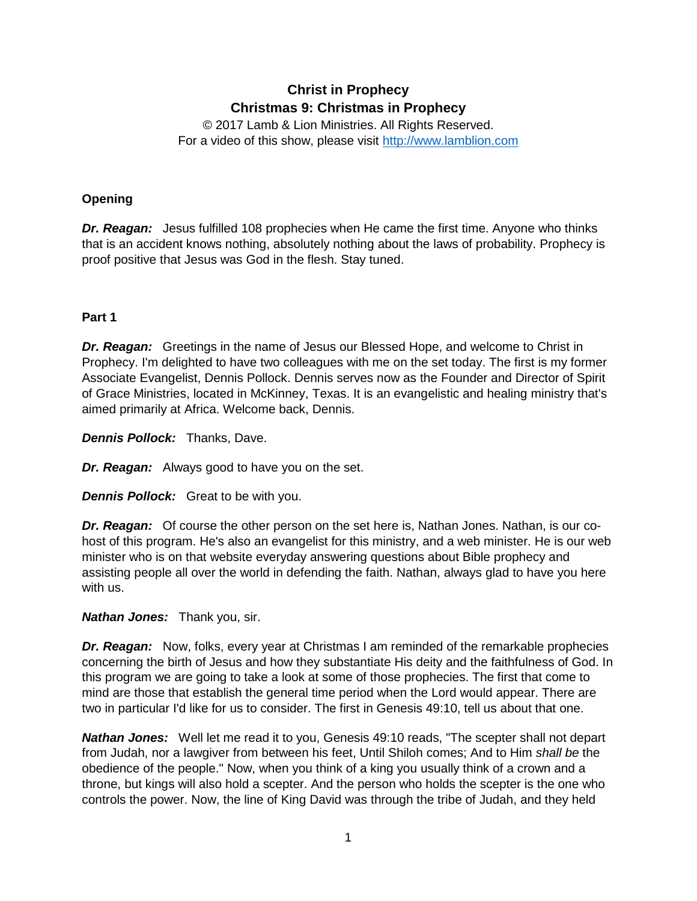# **Christ in Prophecy Christmas 9: Christmas in Prophecy**

© 2017 Lamb & Lion Ministries. All Rights Reserved. For a video of this show, please visit [http://www.lamblion.com](http://www.lamblion.com/)

### **Opening**

*Dr. Reagan:* Jesus fulfilled 108 prophecies when He came the first time. Anyone who thinks that is an accident knows nothing, absolutely nothing about the laws of probability. Prophecy is proof positive that Jesus was God in the flesh. Stay tuned.

#### **Part 1**

*Dr. Reagan:* Greetings in the name of Jesus our Blessed Hope, and welcome to Christ in Prophecy. I'm delighted to have two colleagues with me on the set today. The first is my former Associate Evangelist, Dennis Pollock. Dennis serves now as the Founder and Director of Spirit of Grace Ministries, located in McKinney, Texas. It is an evangelistic and healing ministry that's aimed primarily at Africa. Welcome back, Dennis.

*Dennis Pollock:* Thanks, Dave.

*Dr. Reagan:* Always good to have you on the set.

*Dennis Pollock:* Great to be with you.

*Dr. Reagan:* Of course the other person on the set here is, Nathan Jones. Nathan, is our cohost of this program. He's also an evangelist for this ministry, and a web minister. He is our web minister who is on that website everyday answering questions about Bible prophecy and assisting people all over the world in defending the faith. Nathan, always glad to have you here with us.

#### *Nathan Jones:* Thank you, sir.

*Dr. Reagan:* Now, folks, every year at Christmas I am reminded of the remarkable prophecies concerning the birth of Jesus and how they substantiate His deity and the faithfulness of God. In this program we are going to take a look at some of those prophecies. The first that come to mind are those that establish the general time period when the Lord would appear. There are two in particular I'd like for us to consider. The first in Genesis 49:10, tell us about that one.

*Nathan Jones:* Well let me read it to you, Genesis 49:10 reads, "The scepter shall not depart from Judah, nor a lawgiver from between his feet, Until Shiloh comes; And to Him *shall be* the obedience of the people." Now, when you think of a king you usually think of a crown and a throne, but kings will also hold a scepter. And the person who holds the scepter is the one who controls the power. Now, the line of King David was through the tribe of Judah, and they held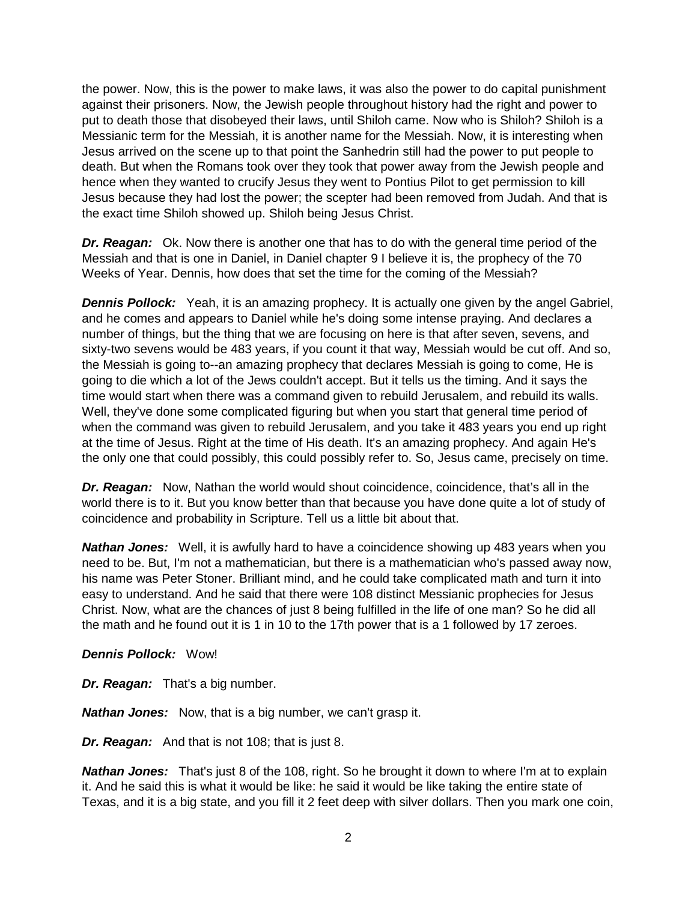the power. Now, this is the power to make laws, it was also the power to do capital punishment against their prisoners. Now, the Jewish people throughout history had the right and power to put to death those that disobeyed their laws, until Shiloh came. Now who is Shiloh? Shiloh is a Messianic term for the Messiah, it is another name for the Messiah. Now, it is interesting when Jesus arrived on the scene up to that point the Sanhedrin still had the power to put people to death. But when the Romans took over they took that power away from the Jewish people and hence when they wanted to crucify Jesus they went to Pontius Pilot to get permission to kill Jesus because they had lost the power; the scepter had been removed from Judah. And that is the exact time Shiloh showed up. Shiloh being Jesus Christ.

*Dr. Reagan:* Ok. Now there is another one that has to do with the general time period of the Messiah and that is one in Daniel, in Daniel chapter 9 I believe it is, the prophecy of the 70 Weeks of Year. Dennis, how does that set the time for the coming of the Messiah?

**Dennis Pollock:** Yeah, it is an amazing prophecy. It is actually one given by the angel Gabriel, and he comes and appears to Daniel while he's doing some intense praying. And declares a number of things, but the thing that we are focusing on here is that after seven, sevens, and sixty-two sevens would be 483 years, if you count it that way, Messiah would be cut off. And so, the Messiah is going to--an amazing prophecy that declares Messiah is going to come, He is going to die which a lot of the Jews couldn't accept. But it tells us the timing. And it says the time would start when there was a command given to rebuild Jerusalem, and rebuild its walls. Well, they've done some complicated figuring but when you start that general time period of when the command was given to rebuild Jerusalem, and you take it 483 years you end up right at the time of Jesus. Right at the time of His death. It's an amazing prophecy. And again He's the only one that could possibly, this could possibly refer to. So, Jesus came, precisely on time.

*Dr. Reagan:* Now, Nathan the world would shout coincidence, coincidence, that's all in the world there is to it. But you know better than that because you have done quite a lot of study of coincidence and probability in Scripture. Tell us a little bit about that.

*Nathan Jones:* Well, it is awfully hard to have a coincidence showing up 483 years when you need to be. But, I'm not a mathematician, but there is a mathematician who's passed away now, his name was Peter Stoner. Brilliant mind, and he could take complicated math and turn it into easy to understand. And he said that there were 108 distinct Messianic prophecies for Jesus Christ. Now, what are the chances of just 8 being fulfilled in the life of one man? So he did all the math and he found out it is 1 in 10 to the 17th power that is a 1 followed by 17 zeroes.

#### *Dennis Pollock:* Wow!

*Dr. Reagan:* That's a big number.

*Nathan Jones:* Now, that is a big number, we can't grasp it.

*Dr. Reagan:* And that is not 108; that is just 8.

**Nathan Jones:** That's just 8 of the 108, right. So he brought it down to where I'm at to explain it. And he said this is what it would be like: he said it would be like taking the entire state of Texas, and it is a big state, and you fill it 2 feet deep with silver dollars. Then you mark one coin,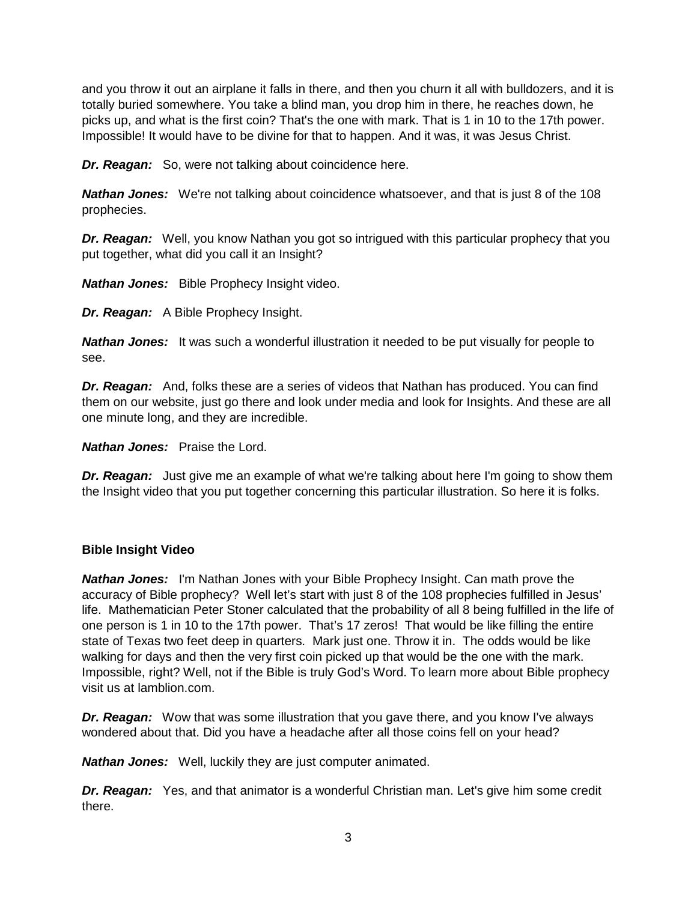and you throw it out an airplane it falls in there, and then you churn it all with bulldozers, and it is totally buried somewhere. You take a blind man, you drop him in there, he reaches down, he picks up, and what is the first coin? That's the one with mark. That is 1 in 10 to the 17th power. Impossible! It would have to be divine for that to happen. And it was, it was Jesus Christ.

*Dr. Reagan:* So, were not talking about coincidence here.

*Nathan Jones:* We're not talking about coincidence whatsoever, and that is just 8 of the 108 prophecies.

*Dr. Reagan:* Well, you know Nathan you got so intrigued with this particular prophecy that you put together, what did you call it an Insight?

*Nathan Jones:* Bible Prophecy Insight video.

*Dr. Reagan:* A Bible Prophecy Insight.

*Nathan Jones:* It was such a wonderful illustration it needed to be put visually for people to see.

*Dr. Reagan:* And, folks these are a series of videos that Nathan has produced. You can find them on our website, just go there and look under media and look for Insights. And these are all one minute long, and they are incredible.

*Nathan Jones:* Praise the Lord.

*Dr. Reagan:* Just give me an example of what we're talking about here I'm going to show them the Insight video that you put together concerning this particular illustration. So here it is folks.

#### **Bible Insight Video**

*Nathan Jones:* I'm Nathan Jones with your Bible Prophecy Insight. Can math prove the accuracy of Bible prophecy? Well let's start with just 8 of the 108 prophecies fulfilled in Jesus' life. Mathematician Peter Stoner calculated that the probability of all 8 being fulfilled in the life of one person is 1 in 10 to the 17th power. That's 17 zeros! That would be like filling the entire state of Texas two feet deep in quarters. Mark just one. Throw it in. The odds would be like walking for days and then the very first coin picked up that would be the one with the mark. Impossible, right? Well, not if the Bible is truly God's Word. To learn more about Bible prophecy visit us at lamblion.com.

*Dr. Reagan:* Wow that was some illustration that you gave there, and you know I've always wondered about that. Did you have a headache after all those coins fell on your head?

*Nathan Jones:* Well, luckily they are just computer animated.

*Dr. Reagan:* Yes, and that animator is a wonderful Christian man. Let's give him some credit there.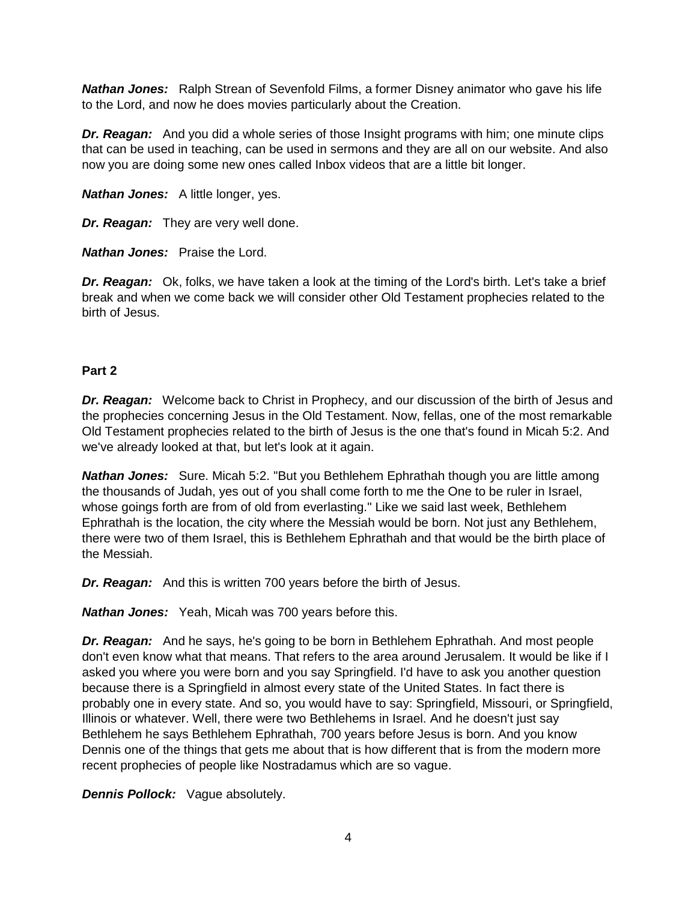*Nathan Jones:* Ralph Strean of Sevenfold Films, a former Disney animator who gave his life to the Lord, and now he does movies particularly about the Creation.

*Dr. Reagan:* And you did a whole series of those Insight programs with him; one minute clips that can be used in teaching, can be used in sermons and they are all on our website. And also now you are doing some new ones called Inbox videos that are a little bit longer.

*Nathan Jones:* A little longer, yes.

*Dr. Reagan:* They are very well done.

*Nathan Jones:* Praise the Lord.

*Dr. Reagan:* Ok, folks, we have taken a look at the timing of the Lord's birth. Let's take a brief break and when we come back we will consider other Old Testament prophecies related to the birth of Jesus.

#### **Part 2**

*Dr. Reagan:* Welcome back to Christ in Prophecy, and our discussion of the birth of Jesus and the prophecies concerning Jesus in the Old Testament. Now, fellas, one of the most remarkable Old Testament prophecies related to the birth of Jesus is the one that's found in Micah 5:2. And we've already looked at that, but let's look at it again.

*Nathan Jones:* Sure. Micah 5:2. "But you Bethlehem Ephrathah though you are little among the thousands of Judah, yes out of you shall come forth to me the One to be ruler in Israel, whose goings forth are from of old from everlasting." Like we said last week, Bethlehem Ephrathah is the location, the city where the Messiah would be born. Not just any Bethlehem, there were two of them Israel, this is Bethlehem Ephrathah and that would be the birth place of the Messiah.

*Dr. Reagan:* And this is written 700 years before the birth of Jesus.

*Nathan Jones:* Yeah, Micah was 700 years before this.

*Dr. Reagan:* And he says, he's going to be born in Bethlehem Ephrathah. And most people don't even know what that means. That refers to the area around Jerusalem. It would be like if I asked you where you were born and you say Springfield. I'd have to ask you another question because there is a Springfield in almost every state of the United States. In fact there is probably one in every state. And so, you would have to say: Springfield, Missouri, or Springfield, Illinois or whatever. Well, there were two Bethlehems in Israel. And he doesn't just say Bethlehem he says Bethlehem Ephrathah, 700 years before Jesus is born. And you know Dennis one of the things that gets me about that is how different that is from the modern more recent prophecies of people like Nostradamus which are so vague.

*Dennis Pollock:* Vague absolutely.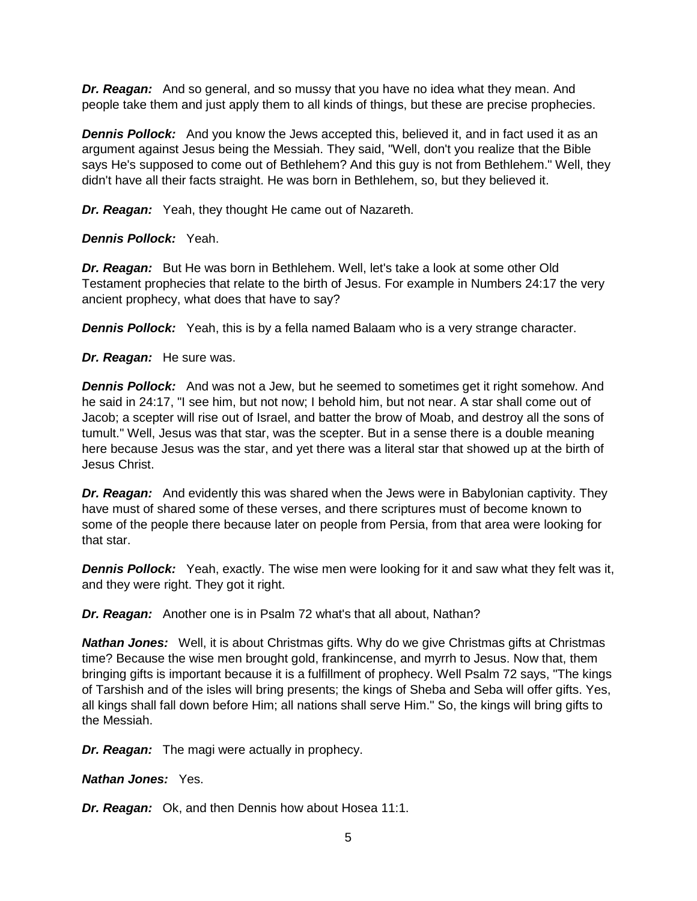*Dr. Reagan:* And so general, and so mussy that you have no idea what they mean. And people take them and just apply them to all kinds of things, but these are precise prophecies.

**Dennis Pollock:** And you know the Jews accepted this, believed it, and in fact used it as an argument against Jesus being the Messiah. They said, "Well, don't you realize that the Bible says He's supposed to come out of Bethlehem? And this guy is not from Bethlehem." Well, they didn't have all their facts straight. He was born in Bethlehem, so, but they believed it.

*Dr. Reagan:* Yeah, they thought He came out of Nazareth.

*Dennis Pollock:* Yeah.

*Dr. Reagan:* But He was born in Bethlehem. Well, let's take a look at some other Old Testament prophecies that relate to the birth of Jesus. For example in Numbers 24:17 the very ancient prophecy, what does that have to say?

**Dennis Pollock:** Yeah, this is by a fella named Balaam who is a very strange character.

*Dr. Reagan:* He sure was.

**Dennis Pollock:** And was not a Jew, but he seemed to sometimes get it right somehow. And he said in 24:17, "I see him, but not now; I behold him, but not near. A star shall come out of Jacob; a scepter will rise out of Israel, and batter the brow of Moab, and destroy all the sons of tumult." Well, Jesus was that star, was the scepter. But in a sense there is a double meaning here because Jesus was the star, and yet there was a literal star that showed up at the birth of Jesus Christ.

*Dr. Reagan:* And evidently this was shared when the Jews were in Babylonian captivity. They have must of shared some of these verses, and there scriptures must of become known to some of the people there because later on people from Persia, from that area were looking for that star.

**Dennis Pollock:** Yeah, exactly. The wise men were looking for it and saw what they felt was it, and they were right. They got it right.

*Dr. Reagan:* Another one is in Psalm 72 what's that all about, Nathan?

*Nathan Jones:* Well, it is about Christmas gifts. Why do we give Christmas gifts at Christmas time? Because the wise men brought gold, frankincense, and myrrh to Jesus. Now that, them bringing gifts is important because it is a fulfillment of prophecy. Well Psalm 72 says, "The kings of Tarshish and of the isles will bring presents; the kings of Sheba and Seba will offer gifts. Yes, all kings shall fall down before Him; all nations shall serve Him." So, the kings will bring gifts to the Messiah.

*Dr. Reagan:* The magi were actually in prophecy.

*Nathan Jones:* Yes.

*Dr. Reagan:* Ok, and then Dennis how about Hosea 11:1.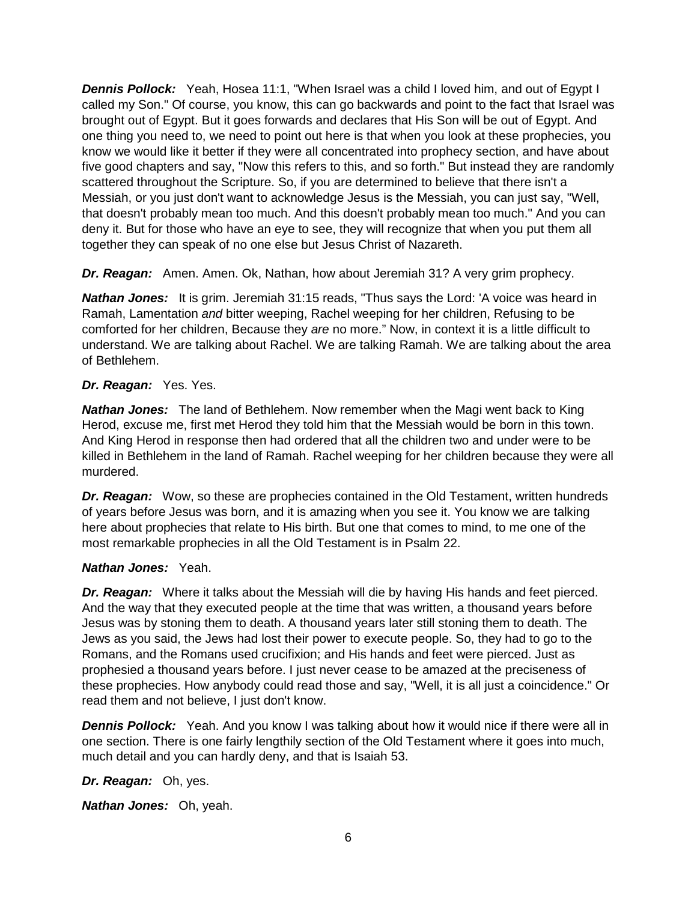*Dennis Pollock:* Yeah, Hosea 11:1, "When Israel was a child I loved him, and out of Egypt I called my Son." Of course, you know, this can go backwards and point to the fact that Israel was brought out of Egypt. But it goes forwards and declares that His Son will be out of Egypt. And one thing you need to, we need to point out here is that when you look at these prophecies, you know we would like it better if they were all concentrated into prophecy section, and have about five good chapters and say, "Now this refers to this, and so forth." But instead they are randomly scattered throughout the Scripture. So, if you are determined to believe that there isn't a Messiah, or you just don't want to acknowledge Jesus is the Messiah, you can just say, "Well, that doesn't probably mean too much. And this doesn't probably mean too much." And you can deny it. But for those who have an eye to see, they will recognize that when you put them all together they can speak of no one else but Jesus Christ of Nazareth.

*Dr. Reagan:* Amen. Amen. Ok, Nathan, how about Jeremiah 31? A very grim prophecy.

*Nathan Jones:* It is grim. Jeremiah 31:15 reads, "Thus says the Lord: 'A voice was heard in Ramah, Lamentation *and* bitter weeping, Rachel weeping for her children, Refusing to be comforted for her children, Because they *are* no more." Now, in context it is a little difficult to understand. We are talking about Rachel. We are talking Ramah. We are talking about the area of Bethlehem.

#### *Dr. Reagan:* Yes. Yes.

*Nathan Jones:* The land of Bethlehem. Now remember when the Magi went back to King Herod, excuse me, first met Herod they told him that the Messiah would be born in this town. And King Herod in response then had ordered that all the children two and under were to be killed in Bethlehem in the land of Ramah. Rachel weeping for her children because they were all murdered.

*Dr. Reagan:* Wow, so these are prophecies contained in the Old Testament, written hundreds of years before Jesus was born, and it is amazing when you see it. You know we are talking here about prophecies that relate to His birth. But one that comes to mind, to me one of the most remarkable prophecies in all the Old Testament is in Psalm 22.

#### *Nathan Jones:* Yeah.

*Dr. Reagan:* Where it talks about the Messiah will die by having His hands and feet pierced. And the way that they executed people at the time that was written, a thousand years before Jesus was by stoning them to death. A thousand years later still stoning them to death. The Jews as you said, the Jews had lost their power to execute people. So, they had to go to the Romans, and the Romans used crucifixion; and His hands and feet were pierced. Just as prophesied a thousand years before. I just never cease to be amazed at the preciseness of these prophecies. How anybody could read those and say, "Well, it is all just a coincidence." Or read them and not believe, I just don't know.

**Dennis Pollock:** Yeah. And you know I was talking about how it would nice if there were all in one section. There is one fairly lengthily section of the Old Testament where it goes into much, much detail and you can hardly deny, and that is Isaiah 53.

# *Dr. Reagan:* Oh, yes.

*Nathan Jones:* Oh, yeah.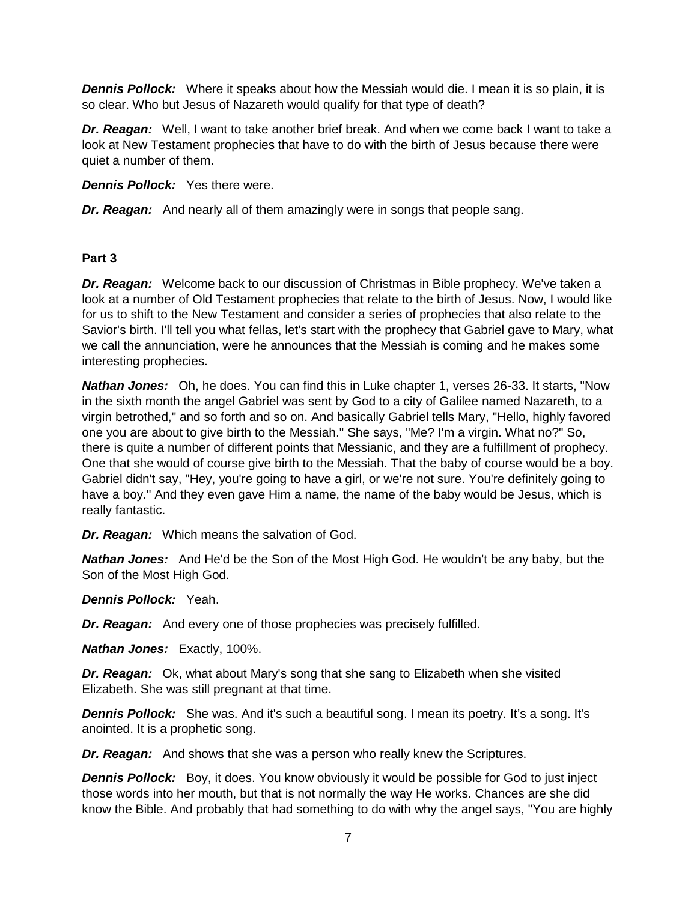*Dennis Pollock:* Where it speaks about how the Messiah would die. I mean it is so plain, it is so clear. Who but Jesus of Nazareth would qualify for that type of death?

*Dr. Reagan:* Well, I want to take another brief break. And when we come back I want to take a look at New Testament prophecies that have to do with the birth of Jesus because there were quiet a number of them.

*Dennis Pollock:* Yes there were.

*Dr. Reagan:* And nearly all of them amazingly were in songs that people sang.

#### **Part 3**

*Dr. Reagan:* Welcome back to our discussion of Christmas in Bible prophecy. We've taken a look at a number of Old Testament prophecies that relate to the birth of Jesus. Now, I would like for us to shift to the New Testament and consider a series of prophecies that also relate to the Savior's birth. I'll tell you what fellas, let's start with the prophecy that Gabriel gave to Mary, what we call the annunciation, were he announces that the Messiah is coming and he makes some interesting prophecies.

*Nathan Jones:* Oh, he does. You can find this in Luke chapter 1, verses 26-33. It starts, "Now in the sixth month the angel Gabriel was sent by God to a city of Galilee named Nazareth, to a virgin betrothed," and so forth and so on. And basically Gabriel tells Mary, "Hello, highly favored one you are about to give birth to the Messiah." She says, "Me? I'm a virgin. What no?" So, there is quite a number of different points that Messianic, and they are a fulfillment of prophecy. One that she would of course give birth to the Messiah. That the baby of course would be a boy. Gabriel didn't say, "Hey, you're going to have a girl, or we're not sure. You're definitely going to have a boy." And they even gave Him a name, the name of the baby would be Jesus, which is really fantastic.

*Dr. Reagan:* Which means the salvation of God.

*Nathan Jones:* And He'd be the Son of the Most High God. He wouldn't be any baby, but the Son of the Most High God.

*Dennis Pollock:* Yeah.

*Dr. Reagan:* And every one of those prophecies was precisely fulfilled.

*Nathan Jones:* Exactly, 100%.

*Dr. Reagan:* Ok, what about Mary's song that she sang to Elizabeth when she visited Elizabeth. She was still pregnant at that time.

**Dennis Pollock:** She was. And it's such a beautiful song. I mean its poetry. It's a song. It's anointed. It is a prophetic song.

*Dr. Reagan:* And shows that she was a person who really knew the Scriptures.

**Dennis Pollock:** Boy, it does. You know obviously it would be possible for God to just inject those words into her mouth, but that is not normally the way He works. Chances are she did know the Bible. And probably that had something to do with why the angel says, "You are highly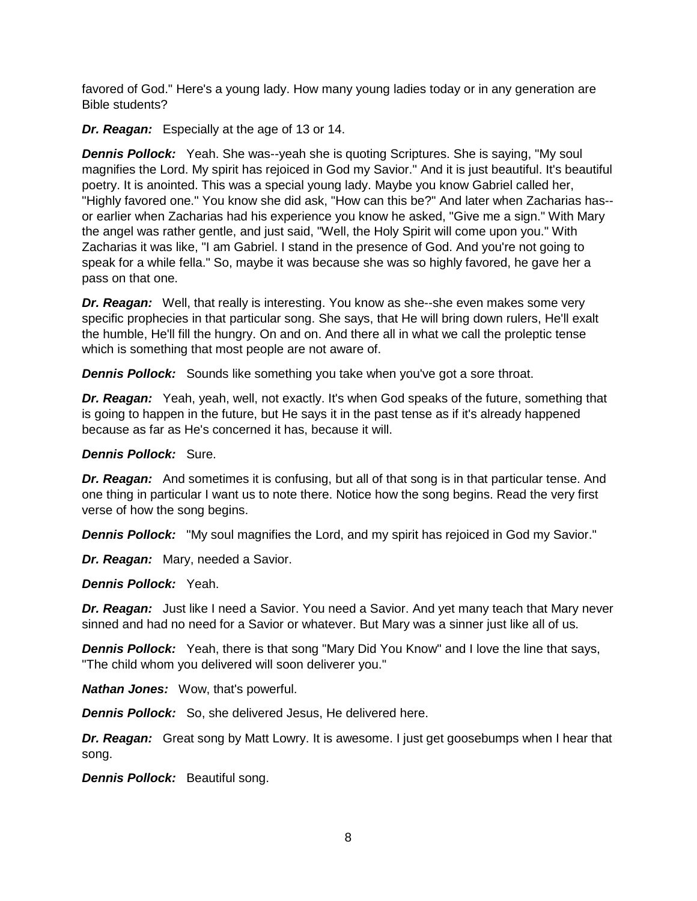favored of God." Here's a young lady. How many young ladies today or in any generation are Bible students?

*Dr. Reagan:* Especially at the age of 13 or 14.

*Dennis Pollock:* Yeah. She was--yeah she is quoting Scriptures. She is saying, "My soul magnifies the Lord. My spirit has rejoiced in God my Savior." And it is just beautiful. It's beautiful poetry. It is anointed. This was a special young lady. Maybe you know Gabriel called her, "Highly favored one." You know she did ask, "How can this be?" And later when Zacharias has- or earlier when Zacharias had his experience you know he asked, "Give me a sign." With Mary the angel was rather gentle, and just said, "Well, the Holy Spirit will come upon you." With Zacharias it was like, "I am Gabriel. I stand in the presence of God. And you're not going to speak for a while fella." So, maybe it was because she was so highly favored, he gave her a pass on that one.

*Dr. Reagan:* Well, that really is interesting. You know as she--she even makes some very specific prophecies in that particular song. She says, that He will bring down rulers, He'll exalt the humble, He'll fill the hungry. On and on. And there all in what we call the proleptic tense which is something that most people are not aware of.

*Dennis Pollock:* Sounds like something you take when you've got a sore throat.

*Dr. Reagan:* Yeah, yeah, well, not exactly. It's when God speaks of the future, something that is going to happen in the future, but He says it in the past tense as if it's already happened because as far as He's concerned it has, because it will.

*Dennis Pollock:* Sure.

*Dr. Reagan:* And sometimes it is confusing, but all of that song is in that particular tense. And one thing in particular I want us to note there. Notice how the song begins. Read the very first verse of how the song begins.

*Dennis Pollock:* "My soul magnifies the Lord, and my spirit has rejoiced in God my Savior."

*Dr. Reagan:* Mary, needed a Savior.

*Dennis Pollock:* Yeah.

*Dr. Reagan:* Just like I need a Savior. You need a Savior. And yet many teach that Mary never sinned and had no need for a Savior or whatever. But Mary was a sinner just like all of us.

*Dennis Pollock:* Yeah, there is that song "Mary Did You Know" and I love the line that says, "The child whom you delivered will soon deliverer you."

*Nathan Jones:* Wow, that's powerful.

*Dennis Pollock:* So, she delivered Jesus, He delivered here.

**Dr. Reagan:** Great song by Matt Lowry. It is awesome. I just get goosebumps when I hear that song.

*Dennis Pollock:* Beautiful song.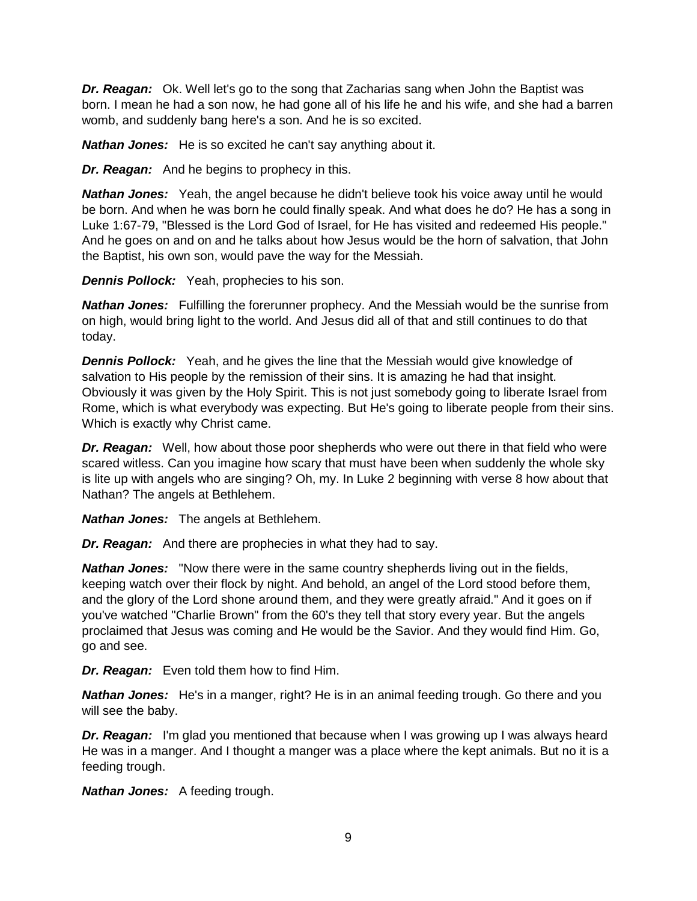*Dr. Reagan:* Ok. Well let's go to the song that Zacharias sang when John the Baptist was born. I mean he had a son now, he had gone all of his life he and his wife, and she had a barren womb, and suddenly bang here's a son. And he is so excited.

*Nathan Jones:* He is so excited he can't say anything about it.

*Dr. Reagan:* And he begins to prophecy in this.

*Nathan Jones:* Yeah, the angel because he didn't believe took his voice away until he would be born. And when he was born he could finally speak. And what does he do? He has a song in Luke 1:67-79, "Blessed is the Lord God of Israel, for He has visited and redeemed His people." And he goes on and on and he talks about how Jesus would be the horn of salvation, that John the Baptist, his own son, would pave the way for the Messiah.

*Dennis Pollock:* Yeah, prophecies to his son.

*Nathan Jones:* Fulfilling the forerunner prophecy. And the Messiah would be the sunrise from on high, would bring light to the world. And Jesus did all of that and still continues to do that today.

*Dennis Pollock:* Yeah, and he gives the line that the Messiah would give knowledge of salvation to His people by the remission of their sins. It is amazing he had that insight. Obviously it was given by the Holy Spirit. This is not just somebody going to liberate Israel from Rome, which is what everybody was expecting. But He's going to liberate people from their sins. Which is exactly why Christ came.

*Dr. Reagan:* Well, how about those poor shepherds who were out there in that field who were scared witless. Can you imagine how scary that must have been when suddenly the whole sky is lite up with angels who are singing? Oh, my. In Luke 2 beginning with verse 8 how about that Nathan? The angels at Bethlehem.

*Nathan Jones:* The angels at Bethlehem.

*Dr. Reagan:* And there are prophecies in what they had to say.

*Nathan Jones:* "Now there were in the same country shepherds living out in the fields, keeping watch over their flock by night. And behold, an angel of the Lord stood before them, and the glory of the Lord shone around them, and they were greatly afraid." And it goes on if you've watched "Charlie Brown" from the 60's they tell that story every year. But the angels proclaimed that Jesus was coming and He would be the Savior. And they would find Him. Go, go and see.

*Dr. Reagan:* Even told them how to find Him.

*Nathan Jones:* He's in a manger, right? He is in an animal feeding trough. Go there and you will see the baby.

*Dr. Reagan:* I'm glad you mentioned that because when I was growing up I was always heard He was in a manger. And I thought a manger was a place where the kept animals. But no it is a feeding trough.

*Nathan Jones:* A feeding trough.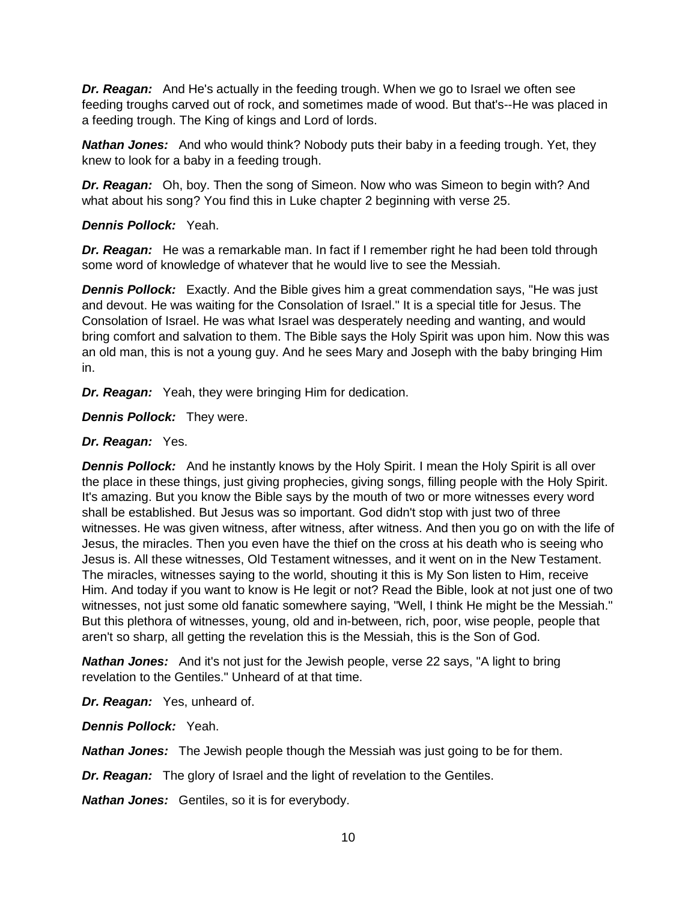*Dr. Reagan:* And He's actually in the feeding trough. When we go to Israel we often see feeding troughs carved out of rock, and sometimes made of wood. But that's--He was placed in a feeding trough. The King of kings and Lord of lords.

*Nathan Jones:* And who would think? Nobody puts their baby in a feeding trough. Yet, they knew to look for a baby in a feeding trough.

*Dr. Reagan:* Oh, boy. Then the song of Simeon. Now who was Simeon to begin with? And what about his song? You find this in Luke chapter 2 beginning with verse 25.

### *Dennis Pollock:* Yeah.

**Dr. Reagan:** He was a remarkable man. In fact if I remember right he had been told through some word of knowledge of whatever that he would live to see the Messiah.

*Dennis Pollock:* Exactly. And the Bible gives him a great commendation says, "He was just and devout. He was waiting for the Consolation of Israel." It is a special title for Jesus. The Consolation of Israel. He was what Israel was desperately needing and wanting, and would bring comfort and salvation to them. The Bible says the Holy Spirit was upon him. Now this was an old man, this is not a young guy. And he sees Mary and Joseph with the baby bringing Him in.

*Dr. Reagan:* Yeah, they were bringing Him for dedication.

*Dennis Pollock:* They were.

## *Dr. Reagan:* Yes.

**Dennis Pollock:** And he instantly knows by the Holy Spirit. I mean the Holy Spirit is all over the place in these things, just giving prophecies, giving songs, filling people with the Holy Spirit. It's amazing. But you know the Bible says by the mouth of two or more witnesses every word shall be established. But Jesus was so important. God didn't stop with just two of three witnesses. He was given witness, after witness, after witness. And then you go on with the life of Jesus, the miracles. Then you even have the thief on the cross at his death who is seeing who Jesus is. All these witnesses, Old Testament witnesses, and it went on in the New Testament. The miracles, witnesses saying to the world, shouting it this is My Son listen to Him, receive Him. And today if you want to know is He legit or not? Read the Bible, look at not just one of two witnesses, not just some old fanatic somewhere saying, "Well, I think He might be the Messiah." But this plethora of witnesses, young, old and in-between, rich, poor, wise people, people that aren't so sharp, all getting the revelation this is the Messiah, this is the Son of God.

**Nathan Jones:** And it's not just for the Jewish people, verse 22 says, "A light to bring revelation to the Gentiles." Unheard of at that time.

*Dr. Reagan:* Yes, unheard of.

*Dennis Pollock:* Yeah.

*Nathan Jones:* The Jewish people though the Messiah was just going to be for them.

*Dr. Reagan:* The glory of Israel and the light of revelation to the Gentiles.

*Nathan Jones:* Gentiles, so it is for everybody.